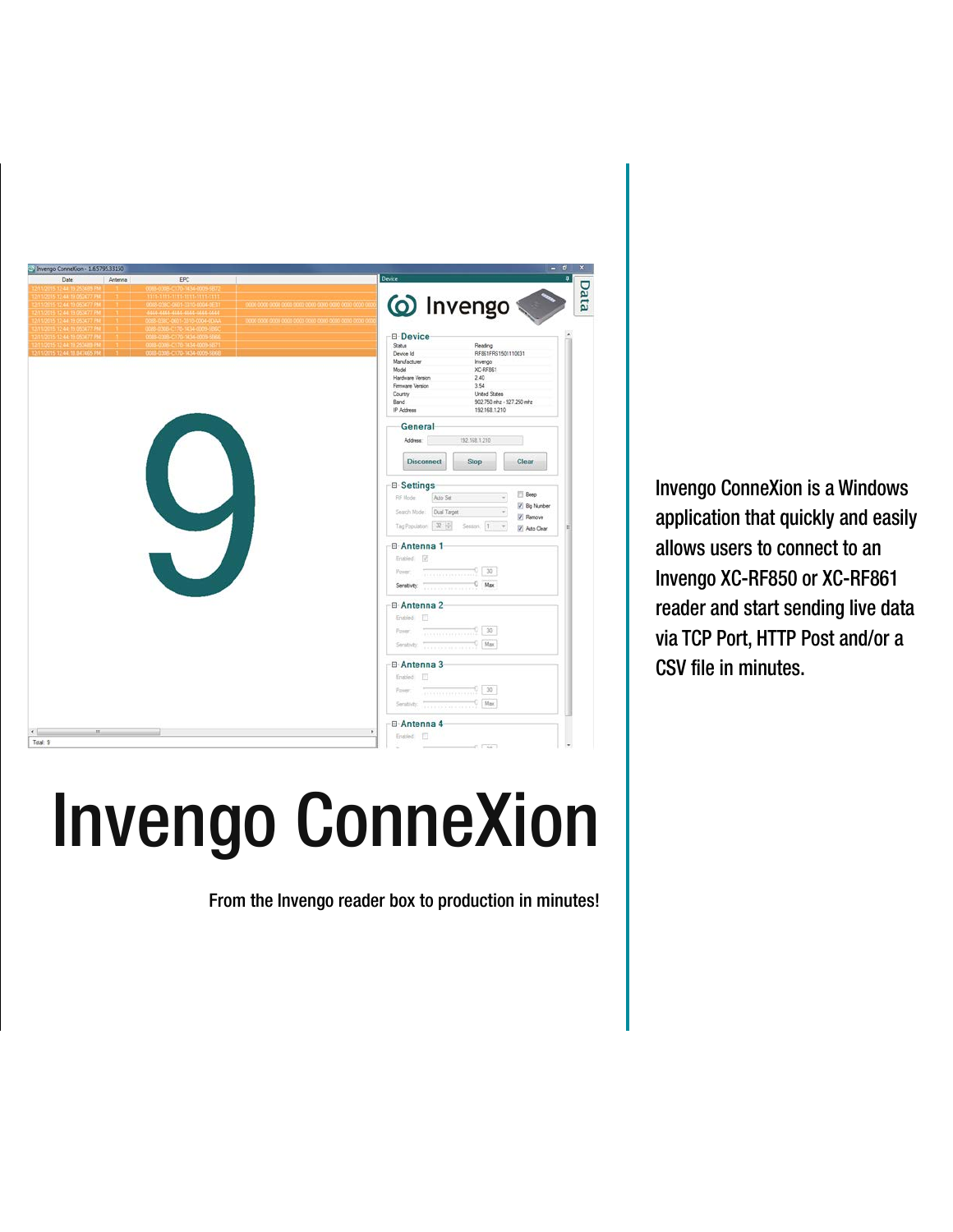| Vy Invengo ConneXion - 1.6.5795.33150                     | $ a$                                                             |
|-----------------------------------------------------------|------------------------------------------------------------------|
| EPC<br>Date<br>Antenna                                    | Device.                                                          |
| 1111-1111-1111-1111-111-111<br>0068-038C-0601-3310-0004-0 |                                                                  |
| 177 TITETIE TIETIE                                        | © Invengo                                                        |
|                                                           |                                                                  |
|                                                           | <b>E</b> -Device<br>Status<br>Reading                            |
| 0388-0308-C170-1434-000                                   | RF861FRS1501110031<br>Device Id                                  |
|                                                           | Manufacturer<br>Invergo<br>Model<br>XC-RF861                     |
|                                                           | 2.40<br>Hardware Version<br>Fernware Version<br>3.54             |
|                                                           | Country<br><b>United States</b>                                  |
|                                                           | 902.750 mhz - 927.250 mhz<br>Band<br>IP Address<br>192.168.1.210 |
|                                                           | General                                                          |
|                                                           | 192.168.1.210<br>Address:                                        |
|                                                           |                                                                  |
|                                                           | <b>Disconnect</b><br><b>Stop</b><br>Clear                        |
|                                                           | <b>E</b> Settings                                                |
|                                                           | <b>Beep</b><br>RF Mode<br>Auto Set<br>2 Big Number               |
|                                                           | Search Mode: Dual Target<br>V Remove                             |
|                                                           | Tag Papulation 22 H<br>Session, T. v.<br>Auto Clear              |
|                                                           | □ Antenna 1                                                      |
|                                                           | Frabled [7]                                                      |
|                                                           | 30<br>Power:<br><b>THE CONTRACTOR</b>                            |
|                                                           | C Max                                                            |
|                                                           | □ Antenna 2                                                      |
|                                                           | Enabled ITT                                                      |
|                                                           | Fower:                                                           |
|                                                           | Stratisty: The Committee of Chase                                |
|                                                           | □ Antenna 3                                                      |
|                                                           | Enabled [7]                                                      |
|                                                           | 30<br>Fower:<br><b>TECHNOLOGY</b>                                |
|                                                           |                                                                  |
|                                                           | <b>□ Antenna 4</b>                                               |
| $\overline{m}$                                            | $\bullet$                                                        |

## Invengo ConneXion

From the Invengo reader box to production in minutes!

Invengo ConneXion is a Windows application that quickly and easily allows users to connect to an Invengo XC-RF850 or XC-RF861 reader and start sending live data via TCP Port, HTTP Post and/or a CSV file in minutes.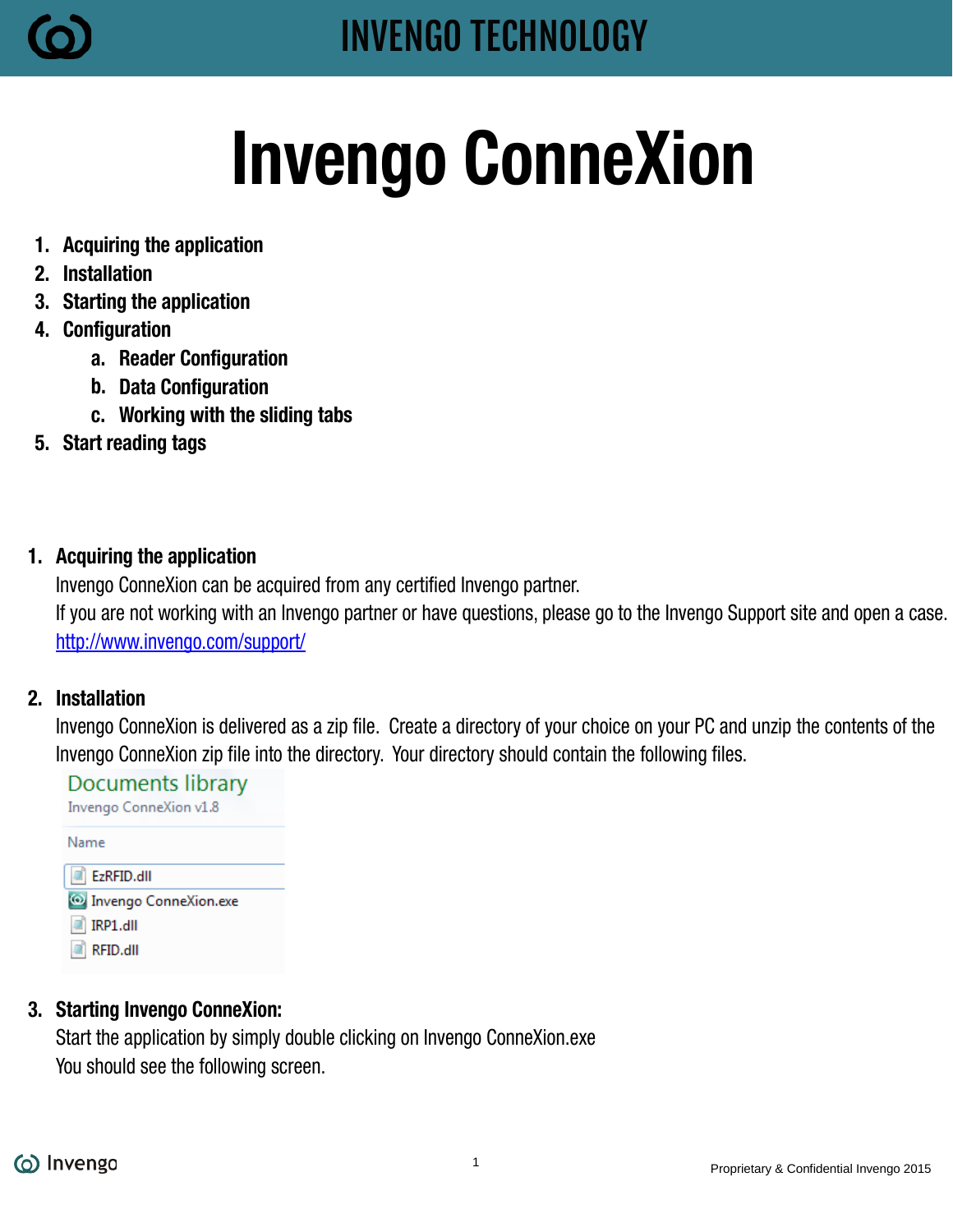

# Invengo ConneXion

- 1. Acquiring the application
- 2. Installation
- 3. Starting the application
- 4. Configuration
	- a. Reader Configuration
	- b. Data Configuration
	- c. Working with the sliding tabs
- 5. Start reading tags
- 1. Acquiring the application

Invengo ConneXion can be acquired from any certified Invengo partner. If you are not working with an Invengo partner or have questions, please go to the Invengo Support site and open a case. <http://www.invengo.com/support/>

### 2. Installation

Invengo ConneXion is delivered as a zip file. Create a directory of your choice on your PC and unzip the contents of the Invengo ConneXion zip file into the directory. Your directory should contain the following files.

**Documents library** Invengo ConneXion v1.8 Name  $\Box$  EzRFID.dll **C** Invengo ConneXion.exe  $\blacksquare$  IRP1.dll  $\blacksquare$  RFID.dll

### 3. Starting Invengo ConneXion:

Start the application by simply double clicking on Invengo ConneXion.exe You should see the following screen.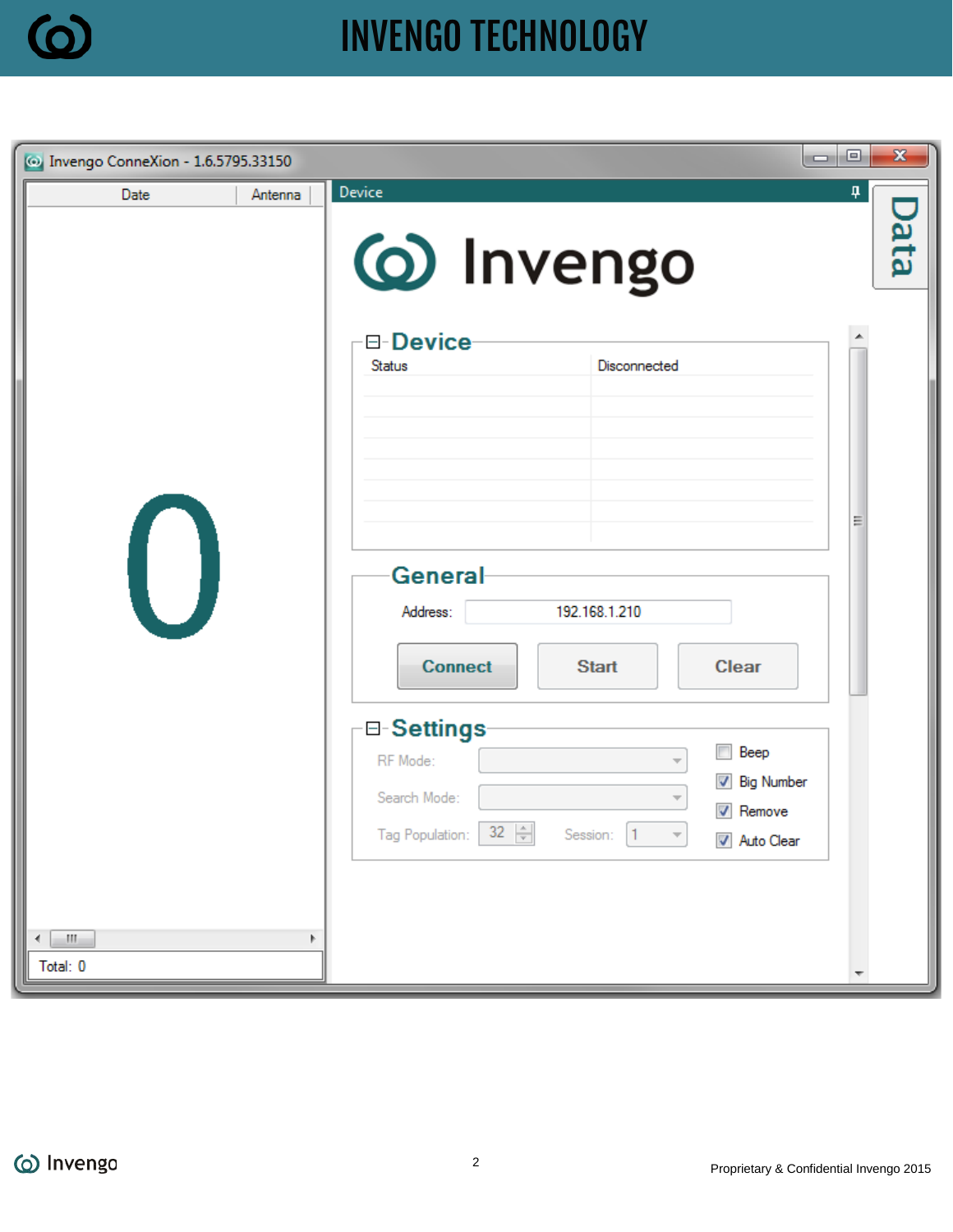

| <b>O</b> Invengo ConneXion - 1.6.5795.33150 | $\equiv$                                                                                                                                                                                                                 | 0<br>$\mathbf{x}$ |
|---------------------------------------------|--------------------------------------------------------------------------------------------------------------------------------------------------------------------------------------------------------------------------|-------------------|
| Date<br>Antenna                             | Device<br><b>@</b> Invengo<br><b>⊟-Device</b>                                                                                                                                                                            | ņ<br>Data         |
| $\lfloor \, \rfloor$                        | Disconnected<br>Status<br>General<br>Address:<br>192.168.1.210<br><b>Connect</b><br><b>Start</b><br><b>Clear</b><br><b>⊟-Settings</b><br>Beep<br>п<br>RF Mode:<br><b>▽</b> Big Number<br>Search Mode:<br><b>V</b> Remove | Ξ                 |
| $-10$<br>∢<br>Þ.<br>Total: 0                | $32 \frac{4}{9}$<br>Tag Population:<br>1<br>Session:<br>$\overline{\phantom{a}}$<br>Auto Clear                                                                                                                           |                   |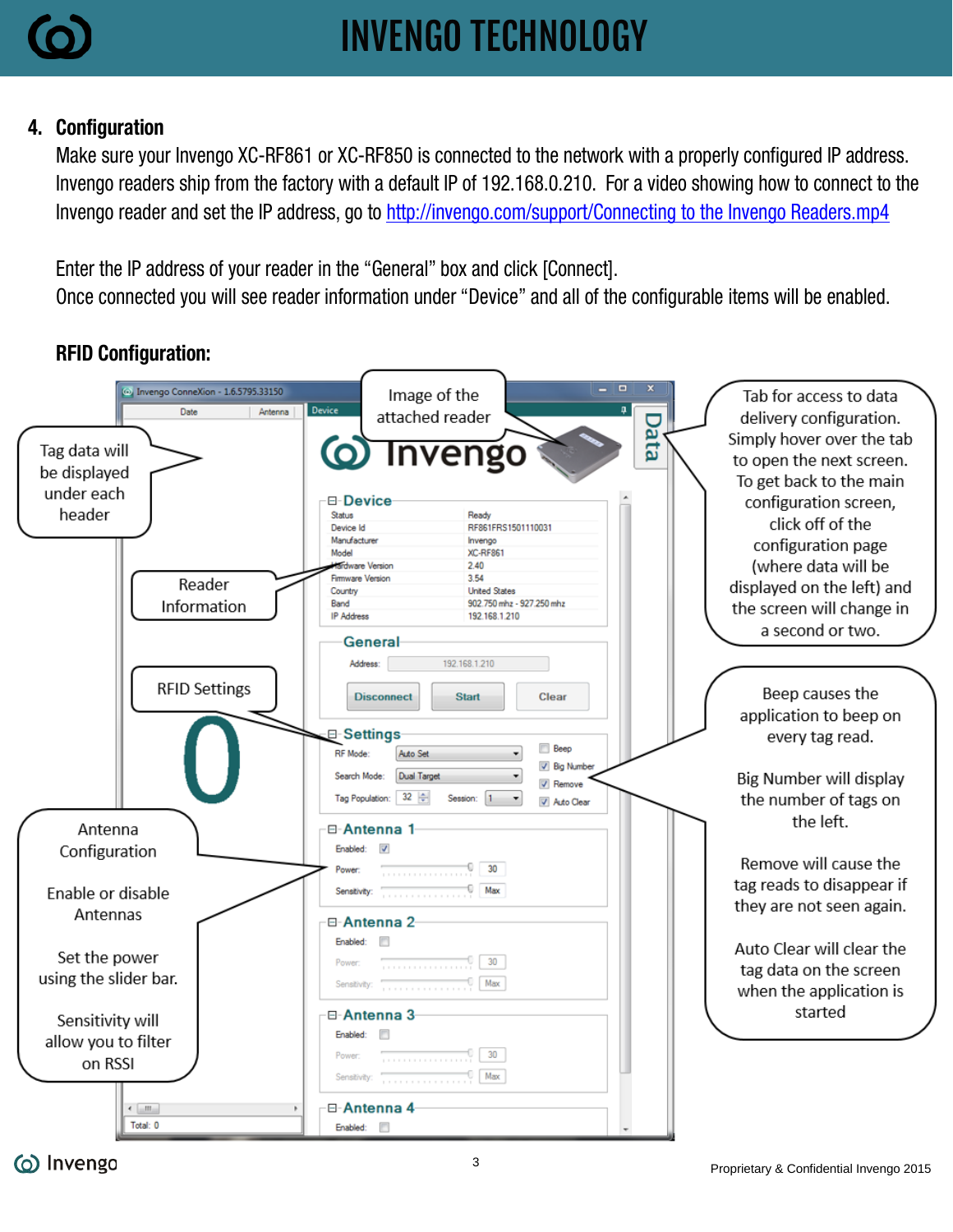

#### 4. Configuration

Make sure your Invengo XC-RF861 or XC-RF850 is connected to the network with a properly configured IP address. Invengo readers ship from the factory with a default IP of 192.168.0.210. For a video showing how to connect to the Invengo reader and set the IP address, go to [http://invengo.com/support/Connecting to the Invengo Readers.mp4](http://invengo.com/support/Connecting%20to%20the%20Invengo%20Readers.mp4)

Enter the IP address of your reader in the "General" box and click [Connect]. Once connected you will see reader information under "Device" and all of the configurable items will be enabled.

### RFID Configuration:



(o) Invengo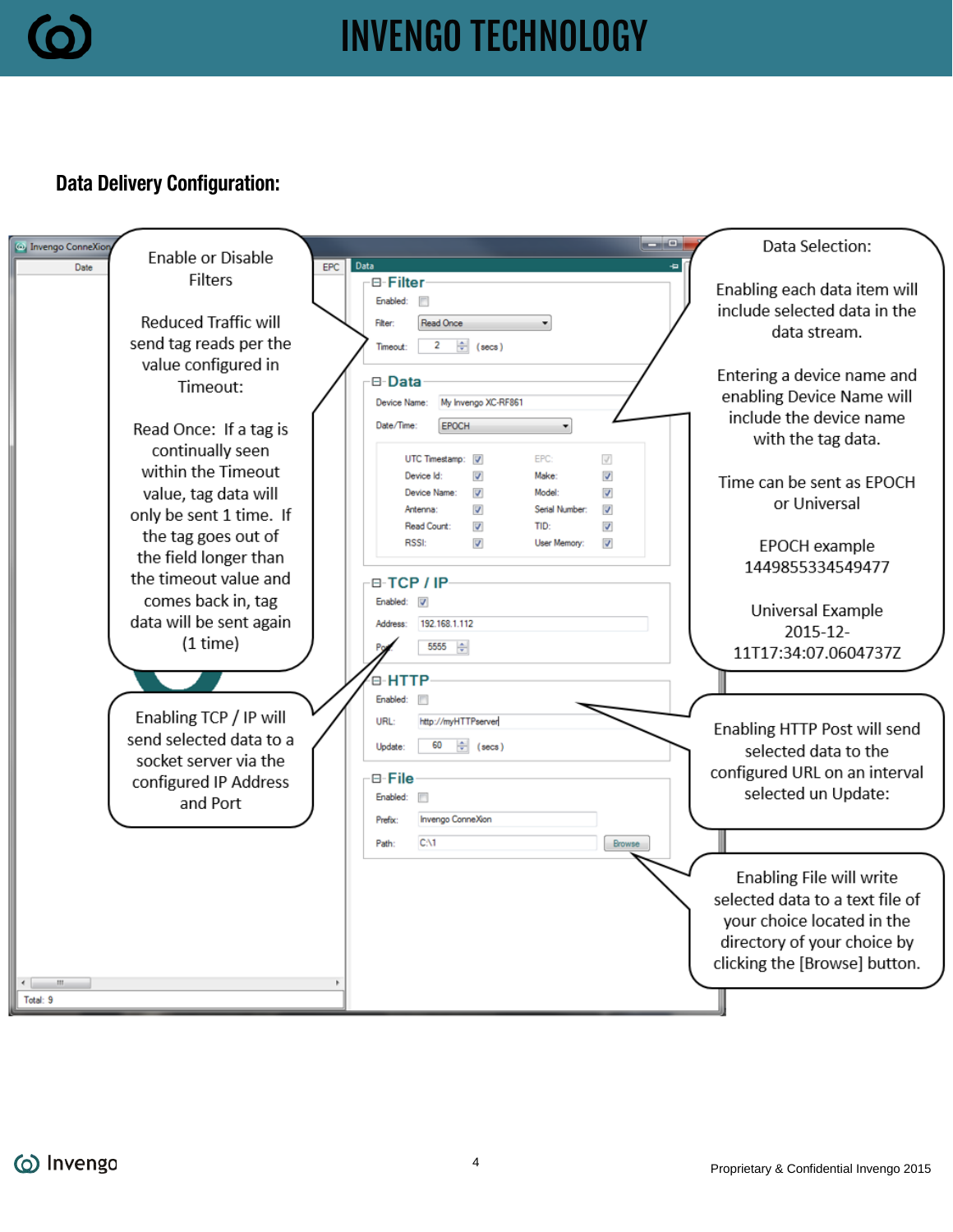

### Data Delivery Configuration:

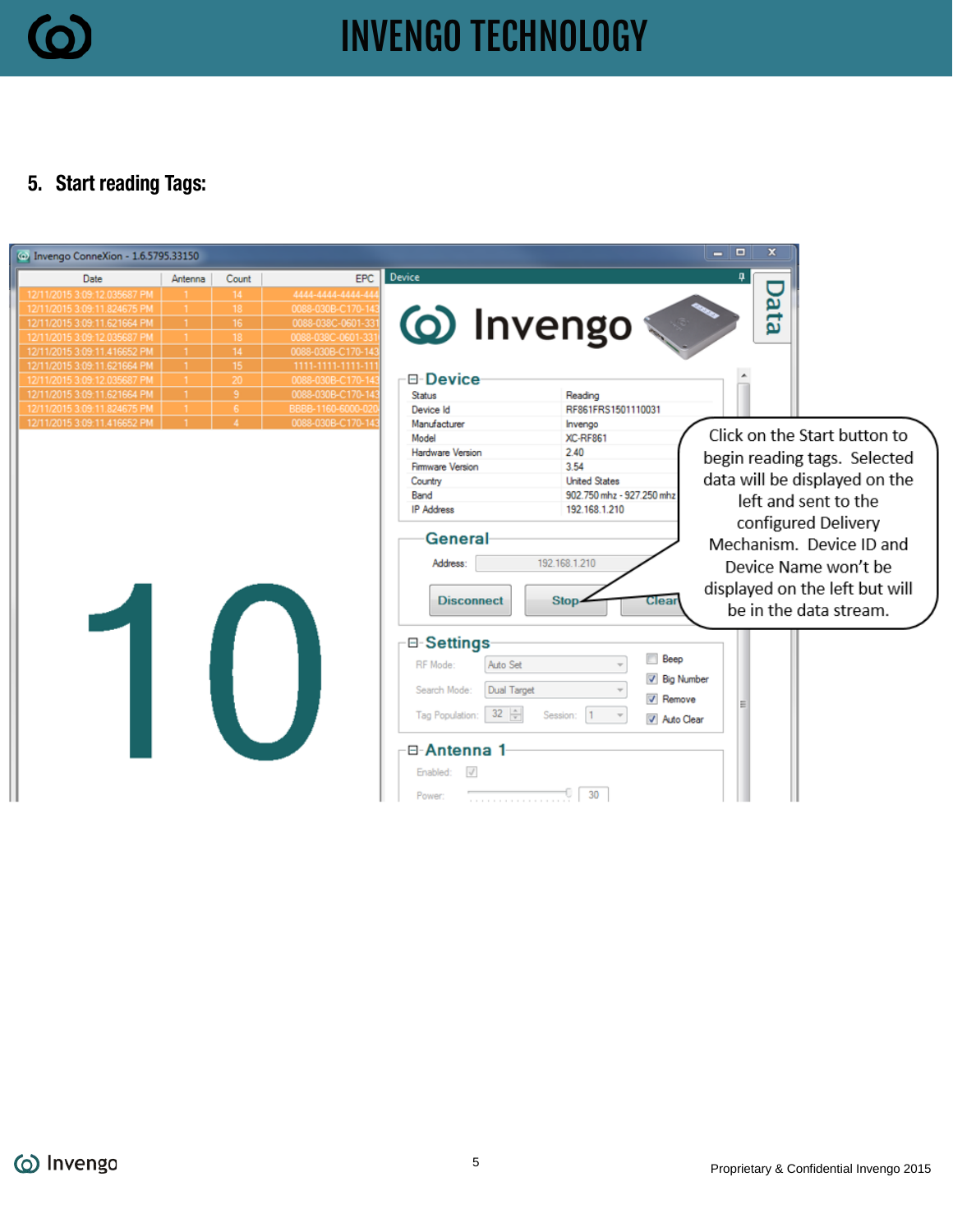

#### 5. Start reading Tags:

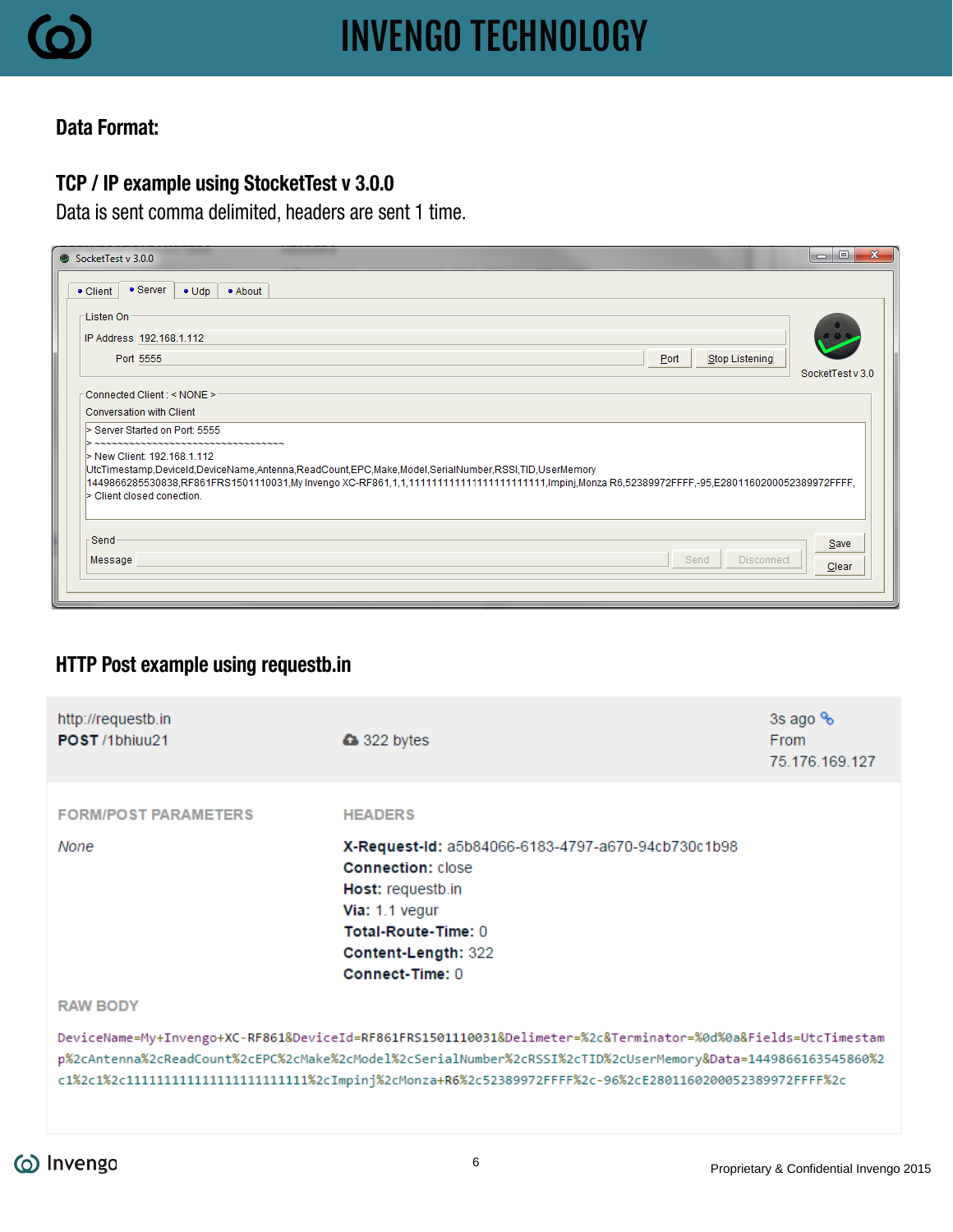

#### Data Format:

### TCP / IP example using StocketTest v 3.0.0

Data is sent comma delimited, headers are sent 1 time.

| SocketTest v 3.0.0                                                                                                                                                                                                                                     | $\qquad \qquad \Box$<br>$\mathbf{x}$ |
|--------------------------------------------------------------------------------------------------------------------------------------------------------------------------------------------------------------------------------------------------------|--------------------------------------|
| $\bullet$ Server<br>• Client<br>$\bullet$ Udp<br>· About                                                                                                                                                                                               |                                      |
| ⊤Listen On                                                                                                                                                                                                                                             |                                      |
| IP Address 192.168.1.112                                                                                                                                                                                                                               |                                      |
| Stop Listening<br>Port<br>Port 5555                                                                                                                                                                                                                    | SocketTesty 3.0                      |
| Connected Client: < NONE >                                                                                                                                                                                                                             |                                      |
| Conversation with Client                                                                                                                                                                                                                               |                                      |
| > Server Started on Port: 5555                                                                                                                                                                                                                         |                                      |
|                                                                                                                                                                                                                                                        |                                      |
| > New Client: 192.168.1.112                                                                                                                                                                                                                            |                                      |
| UtcTimestamp,DeviceId,DeviceName,Antenna,ReadCount,EPC,Make,ModeI,SerialNumber,RSSI,TID,UserMemory<br>1449866285530838,RF861FRS1501110031,My Invengo XC-RF861,1,1,1111111111111111111111111,Impinj,Monza R6,52389972FFFF,-95,E2801160200052389972FFFF, |                                      |
| > Client closed conection.                                                                                                                                                                                                                             |                                      |
|                                                                                                                                                                                                                                                        |                                      |
| Send                                                                                                                                                                                                                                                   |                                      |
|                                                                                                                                                                                                                                                        | Save                                 |
| Send<br><b>Disconnect</b><br>Message                                                                                                                                                                                                                   | Clear                                |
|                                                                                                                                                                                                                                                        |                                      |

### HTTP Post example using requestb.in

| http://requestb.in<br>POST/1bhiuu21                                                                                                                                                                                                                                                                                                          | <b>a</b> 322 bytes                                                                                                                                                                     | 3s ago %<br><b>From</b><br>75.176.169.127 |  |  |
|----------------------------------------------------------------------------------------------------------------------------------------------------------------------------------------------------------------------------------------------------------------------------------------------------------------------------------------------|----------------------------------------------------------------------------------------------------------------------------------------------------------------------------------------|-------------------------------------------|--|--|
| <b>FORM/POST PARAMETERS</b>                                                                                                                                                                                                                                                                                                                  | <b>HEADERS</b>                                                                                                                                                                         |                                           |  |  |
| None                                                                                                                                                                                                                                                                                                                                         | X-Request-Id: a5b84066-6183-4797-a670-94cb730c1b98<br><b>Connection: close</b><br>Host: requestb.in<br>Via: 1.1 vegur<br>Total-Route-Time: 0<br>Content-Length: 322<br>Connect-Time: 0 |                                           |  |  |
| <b>RAW BODY</b>                                                                                                                                                                                                                                                                                                                              |                                                                                                                                                                                        |                                           |  |  |
| DeviceName=My+Invengo+XC-RF861&DeviceId=RF861FRS1501110031&Delimeter=%2c&Terminator=%0d%0a&Fields=UtcTimestam<br>p%2cAntenna%2cReadCount%2cEPC%2cMake%2cModel%2cSerialNumber%2cRSSI%2cTID%2cUserMemory&Data=1449866163545860%2<br>c1%2c1%2c11111111111111111111111111%2cImpinj%2cMonza+R6%2c52389972FFFF%2c-96%2cE2801160200052389972FFFF%2c |                                                                                                                                                                                        |                                           |  |  |